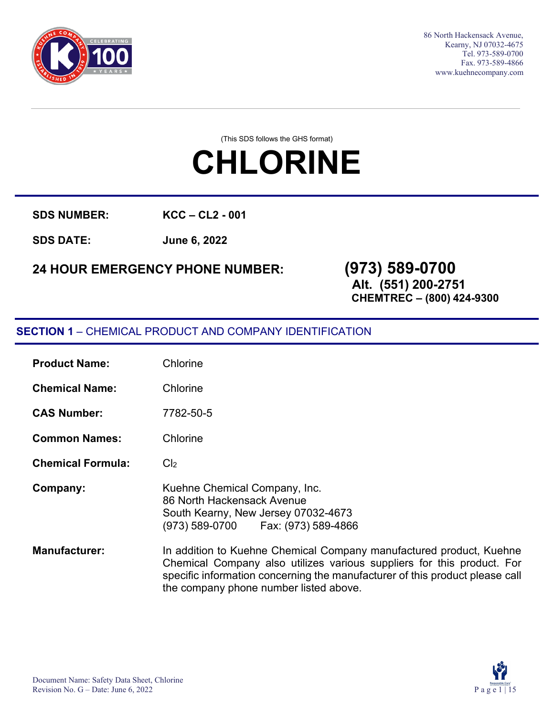

86 North Hackensack Avenue, Kearny, NJ 07032-4675 Tel. 973-589-0700 Fax. 973-589-4866 [www.kuehnecompany.com](http://www.kuehnecompany.com/)

(This SDS follows the GHS format)

# **CHLORINE**

**SDS NUMBER: KCC – CL2 - 001** 

**SDS DATE: June 6, 2022**

## **24 HOUR EMERGENCY PHONE NUMBER: (973) 589-0700**

## **Alt. (551) 200-2751**

**CHEMTREC – (800) 424-9300**

#### **SECTION 1** – CHEMICAL PRODUCT AND COMPANY IDENTIFICATION

| <b>Product Name:</b>     | Chlorine                                                                                                                                                                                                                                                                |
|--------------------------|-------------------------------------------------------------------------------------------------------------------------------------------------------------------------------------------------------------------------------------------------------------------------|
| <b>Chemical Name:</b>    | Chlorine                                                                                                                                                                                                                                                                |
| <b>CAS Number:</b>       | 7782-50-5                                                                                                                                                                                                                                                               |
| <b>Common Names:</b>     | Chlorine                                                                                                                                                                                                                                                                |
| <b>Chemical Formula:</b> | Cl <sub>2</sub>                                                                                                                                                                                                                                                         |
| Company:                 | Kuehne Chemical Company, Inc.<br>86 North Hackensack Avenue<br>South Kearny, New Jersey 07032-4673<br>(973) 589-0700   Fax: (973) 589-4866                                                                                                                              |
| <b>Manufacturer:</b>     | In addition to Kuehne Chemical Company manufactured product, Kuehne<br>Chemical Company also utilizes various suppliers for this product. For<br>specific information concerning the manufacturer of this product please call<br>the company phone number listed above. |

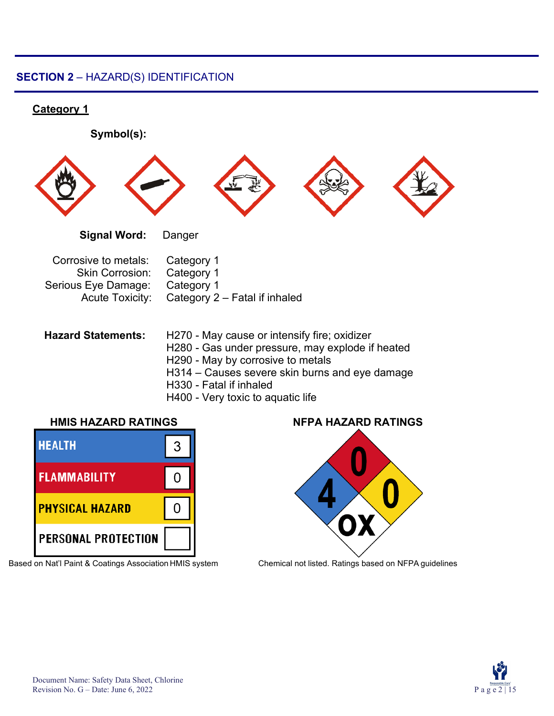#### **SECTION 2** – HAZARD(S) IDENTIFICATION

#### **Category 1**

**Symbol(s): Signal Word:** Danger Corrosive to metals: Category 1 Skin Corrosion: Category 1 Serious Eye Damage: Category 1 Acute Toxicity: Category 2 – Fatal if inhaled **Hazard Statements:** H270 - May cause or intensify fire; oxidizer H280 - Gas under pressure, may explode if heated H290 - May by corrosive to metals H314 – Causes severe skin burns and eye damage

- H330 Fatal if inhaled
- H400 Very toxic to aquatic life



Based on Nat'l Paint & Coatings Association HMIS system Chemical not listed. Ratings based on NFPA guidelines





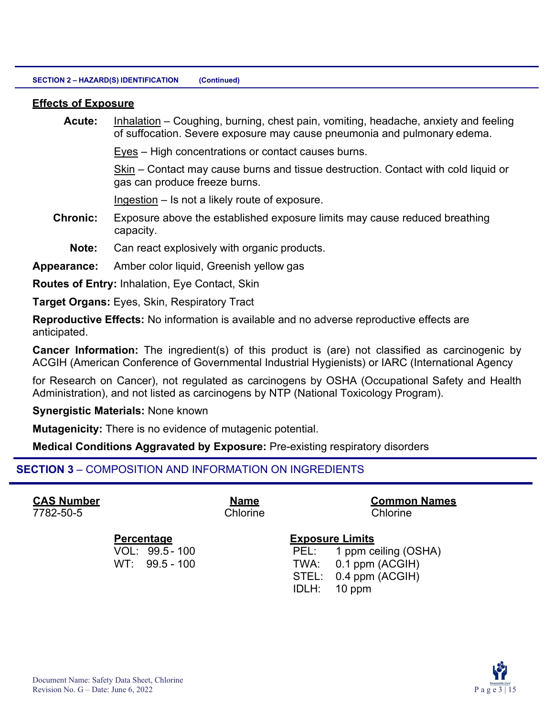#### **Effects of Exposure**

**Acute:** Inhalation – Coughing, burning, chest pain, vomiting, headache, anxiety and feeling of suffocation. Severe exposure may cause pneumonia and pulmonary edema.

Eyes – High concentrations or contact causes burns.

Skin – Contact may cause burns and tissue destruction. Contact with cold liquid or gas can produce freeze burns.

Ingestion – Is not a likely route of exposure.

- **Chronic:** Exposure above the established exposure limits may cause reduced breathing capacity.
	- **Note:** Can react explosively with organic products.

**Appearance:** Amber color liquid, Greenish yellow gas

**Routes of Entry:** Inhalation, Eye Contact, Skin

**Target Organs:** Eyes, Skin, Respiratory Tract

**Reproductive Effects:** No information is available and no adverse reproductive effects are anticipated.

**Cancer Information:** The ingredient(s) of this product is (are) not classified as carcinogenic by ACGIH (American Conference of Governmental Industrial Hygienists) or IARC (International Agency

for Research on Cancer), not regulated as carcinogens by OSHA (Occupational Safety and Health Administration), and not listed as carcinogens by NTP (National Toxicology Program).

**Synergistic Materials:** None known

**Mutagenicity:** There is no evidence of mutagenic potential.

**Medical Conditions Aggravated by Exposure:** Pre-existing respiratory disorders

#### **SECTION 3** – COMPOSITION AND INFORMATION ON INGREDIENTS

7782-50-5 Chlorine Chlorine

**CAS Number Name Common Names**

#### **Percentage Exposure Limits**

VOL: 99.5 - 100 PEL: 1 ppm ceiling (OSHA) WT: 99.5 - 100 TWA: 0.1 ppm (ACGIH) STEL: 0.4 ppm (ACGIH) IDLH: 10 ppm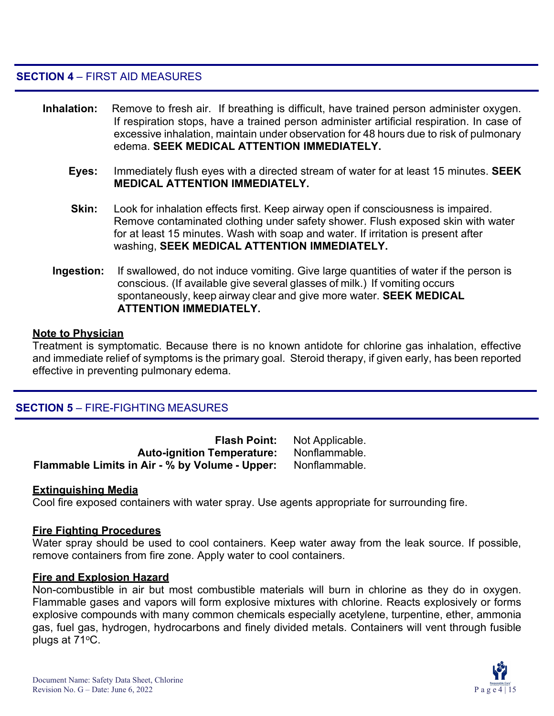**SECTION 4** – FIRST AID MEASURES

- **Inhalation:** Remove to fresh air. If breathing is difficult, have trained person administer oxygen. If respiration stops, have a trained person administer artificial respiration. In case of excessive inhalation, maintain under observation for 48 hours due to risk of pulmonary edema. **SEEK MEDICAL ATTENTION IMMEDIATELY.**
	- **Eyes:** Immediately flush eyes with a directed stream of water for at least 15 minutes. **SEEK MEDICAL ATTENTION IMMEDIATELY.**
	- **Skin:** Look for inhalation effects first. Keep airway open if consciousness is impaired. Remove contaminated clothing under safety shower. Flush exposed skin with water for at least 15 minutes. Wash with soap and water. If irritation is present after washing, **SEEK MEDICAL ATTENTION IMMEDIATELY.**
	- **Ingestion:** If swallowed, do not induce vomiting. Give large quantities of water if the person is conscious. (If available give several glasses of milk.) If vomiting occurs spontaneously, keep airway clear and give more water. **SEEK MEDICAL ATTENTION IMMEDIATELY.**

#### **Note to Physician**

Treatment is symptomatic. Because there is no known antidote for chlorine gas inhalation, effective and immediate relief of symptoms is the primary goal. Steroid therapy, if given early, has been reported effective in preventing pulmonary edema.

#### **SECTION 5** – FIRE-FIGHTING MEASURES

| <b>Flash Point:</b>                            | Not Applicable. |
|------------------------------------------------|-----------------|
| <b>Auto-ignition Temperature:</b>              | Nonflammable.   |
| Flammable Limits in Air - % by Volume - Upper: | Nonflammable.   |

#### **Extinguishing Media**

Cool fire exposed containers with water spray. Use agents appropriate for surrounding fire.

#### **Fire Fighting Procedures**

Water spray should be used to cool containers. Keep water away from the leak source. If possible, remove containers from fire zone. Apply water to cool containers.

#### **Fire and Explosion Hazard**

Non-combustible in air but most combustible materials will burn in chlorine as they do in oxygen. Flammable gases and vapors will form explosive mixtures with chlorine. Reacts explosively or forms explosive compounds with many common chemicals especially acetylene, turpentine, ether, ammonia gas, fuel gas, hydrogen, hydrocarbons and finely divided metals. Containers will vent through fusible plugs at  $71^{\circ}$ C.

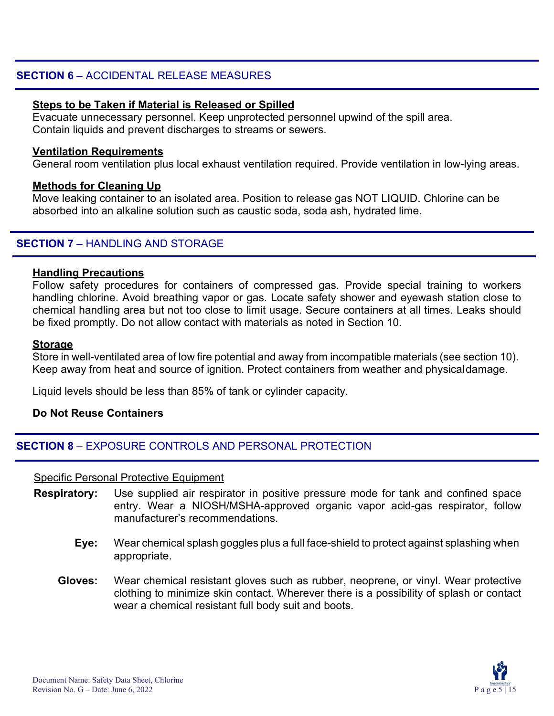#### **SECTION 6** – ACCIDENTAL RELEASE MEASURES

#### **Steps to be Taken if Material is Released or Spilled**

Evacuate unnecessary personnel. Keep unprotected personnel upwind of the spill area. Contain liquids and prevent discharges to streams or sewers.

#### **Ventilation Requirements**

General room ventilation plus local exhaust ventilation required. Provide ventilation in low-lying areas.

#### **Methods for Cleaning Up**

Move leaking container to an isolated area. Position to release gas NOT LIQUID. Chlorine can be absorbed into an alkaline solution such as caustic soda, soda ash, hydrated lime.

#### **SECTION 7** – HANDLING AND STORAGE

#### **Handling Precautions**

Follow safety procedures for containers of compressed gas. Provide special training to workers handling chlorine. Avoid breathing vapor or gas. Locate safety shower and eyewash station close to chemical handling area but not too close to limit usage. Secure containers at all times. Leaks should be fixed promptly. Do not allow contact with materials as noted in Section 10.

#### **Storage**

Store in well-ventilated area of low fire potential and away from incompatible materials (see section 10). Keep away from heat and source of ignition. Protect containers from weather and physicaldamage.

Liquid levels should be less than 85% of tank or cylinder capacity.

#### **Do Not Reuse Containers**

#### **SECTION 8** – EXPOSURE CONTROLS AND PERSONAL PROTECTION

#### Specific Personal Protective Equipment

- **Respiratory:** Use supplied air respirator in positive pressure mode for tank and confined space entry. Wear a NIOSH/MSHA-approved organic vapor acid-gas respirator, follow manufacturer's recommendations.
	- **Eye:** Wear chemical splash goggles plus a full face-shield to protect against splashing when appropriate.
	- **Gloves:** Wear chemical resistant gloves such as rubber, neoprene, or vinyl. Wear protective clothing to minimize skin contact. Wherever there is a possibility of splash or contact wear a chemical resistant full body suit and boots.

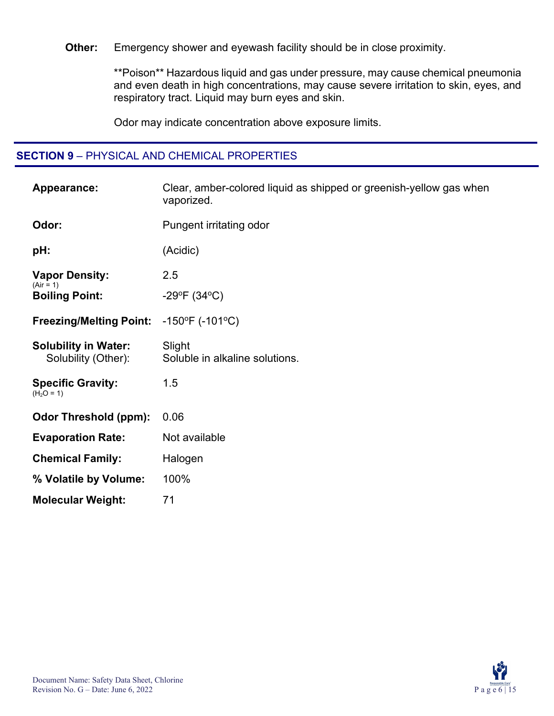**Other:** Emergency shower and eyewash facility should be in close proximity.

\*\*Poison\*\* Hazardous liquid and gas under pressure, may cause chemical pneumonia and even death in high concentrations, may cause severe irritation to skin, eyes, and respiratory tract. Liquid may burn eyes and skin.

Odor may indicate concentration above exposure limits.

#### **SECTION 9** – PHYSICAL AND CHEMICAL PROPERTIES

| Appearance:                                        | Clear, amber-colored liquid as shipped or greenish-yellow gas when<br>vaporized. |
|----------------------------------------------------|----------------------------------------------------------------------------------|
| Odor:                                              | Pungent irritating odor                                                          |
| pH:                                                | (Acidic)                                                                         |
| <b>Vapor Density:</b><br>$(Air = 1)$               | 2.5                                                                              |
| <b>Boiling Point:</b>                              | -29°F $(34$ °C)                                                                  |
| <b>Freezing/Melting Point:</b>                     | $-150^{\circ}F( -101^{\circ}C)$                                                  |
| <b>Solubility in Water:</b><br>Solubility (Other): | Slight<br>Soluble in alkaline solutions.                                         |
| <b>Specific Gravity:</b><br>$(H2O = 1)$            | 1.5                                                                              |
| <b>Odor Threshold (ppm):</b>                       | 0.06                                                                             |
| <b>Evaporation Rate:</b>                           | Not available                                                                    |
| <b>Chemical Family:</b>                            | Halogen                                                                          |
| % Volatile by Volume:                              | 100%                                                                             |
| <b>Molecular Weight:</b>                           | 71                                                                               |

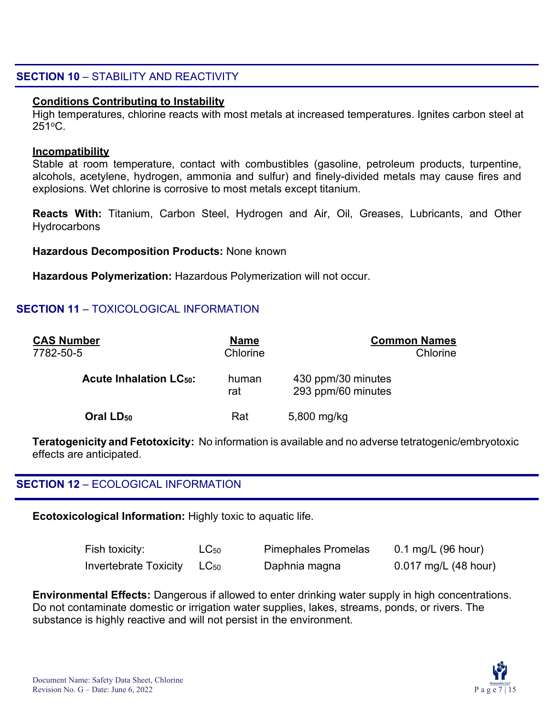#### **SECTION 10** – STABILITY AND REACTIVITY

#### **Conditions Contributing to Instability**

High temperatures, chlorine reacts with most metals at increased temperatures. Ignites carbon steel at 251oC.

#### **Incompatibility**

Stable at room temperature, contact with combustibles (gasoline, petroleum products, turpentine, alcohols, acetylene, hydrogen, ammonia and sulfur) and finely-divided metals may cause fires and explosions. Wet chlorine is corrosive to most metals except titanium.

**Reacts With:** Titanium, Carbon Steel, Hydrogen and Air, Oil, Greases, Lubricants, and Other **Hydrocarbons** 

#### **Hazardous Decomposition Products:** None known

**Hazardous Polymerization:** Hazardous Polymerization will not occur.

#### **SECTION 11** – TOXICOLOGICAL INFORMATION

| <b>CAS Number</b><br>7782-50-5           | <b>Name</b><br>Chlorine | <b>Common Names</b><br>Chlorine          |  |
|------------------------------------------|-------------------------|------------------------------------------|--|
| <b>Acute Inhalation LC<sub>50</sub>:</b> | human<br>rat            | 430 ppm/30 minutes<br>293 ppm/60 minutes |  |
| Oral LD <sub>50</sub>                    | Rat                     | 5,800 mg/kg                              |  |

**Teratogenicity and Fetotoxicity:** No information is available and no adverse tetratogenic/embryotoxic effects are anticipated.

#### **SECTION 12** – ECOLOGICAL INFORMATION

**Ecotoxicological Information:** Highly toxic to aquatic life.

| Fish toxicity:        | $LC_{50}$ | <b>Pimephales Promelas</b> | $0.1$ mg/L (96 hour) |
|-----------------------|-----------|----------------------------|----------------------|
| Invertebrate Toxicity | $LC_{50}$ | Daphnia magna              | 0.017 mg/L (48 hour) |

**Environmental Effects:** Dangerous if allowed to enter drinking water supply in high concentrations. Do not contaminate domestic or irrigation water supplies, lakes, streams, ponds, or rivers. The substance is highly reactive and will not persist in the environment.

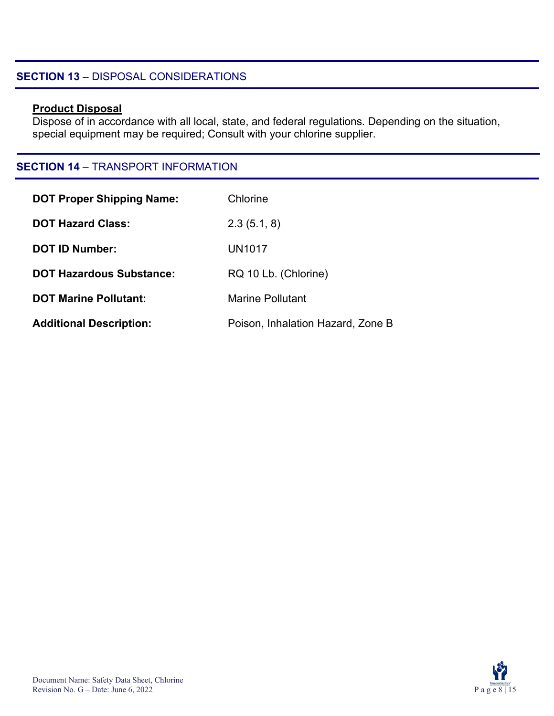#### **SECTION 13** – DISPOSAL CONSIDERATIONS

#### **Product Disposal**

Dispose of in accordance with all local, state, and federal regulations. Depending on the situation, special equipment may be required; Consult with your chlorine supplier.

#### **SECTION 14** – TRANSPORT INFORMATION

| <b>DOT Proper Shipping Name:</b> | Chlorine                          |
|----------------------------------|-----------------------------------|
| <b>DOT Hazard Class:</b>         | 2.3(5.1, 8)                       |
| <b>DOT ID Number:</b>            | <b>UN1017</b>                     |
| <b>DOT Hazardous Substance:</b>  | RQ 10 Lb. (Chlorine)              |
| <b>DOT Marine Pollutant:</b>     | <b>Marine Pollutant</b>           |
| <b>Additional Description:</b>   | Poison, Inhalation Hazard, Zone B |

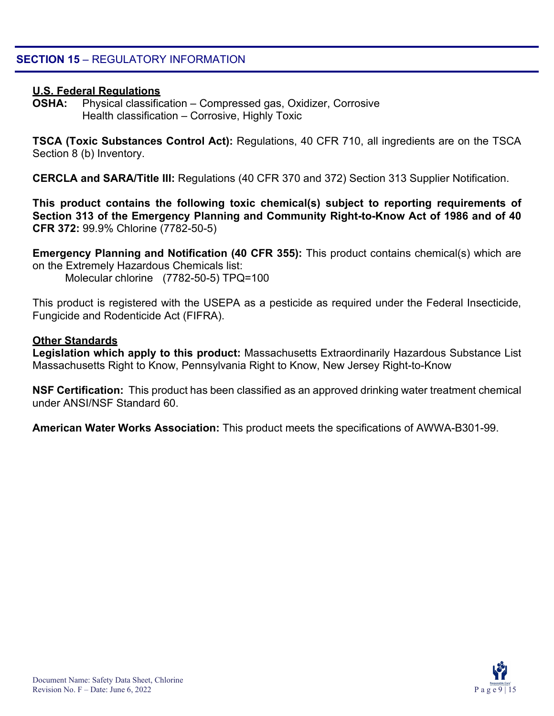#### **U.S. Federal Regulations**

**OSHA:** Physical classification – Compressed gas, Oxidizer, Corrosive Health classification – Corrosive, Highly Toxic

**TSCA (Toxic Substances Control Act):** Regulations, 40 CFR 710, all ingredients are on the TSCA Section 8 (b) Inventory.

**CERCLA and SARA/Title III:** Regulations (40 CFR 370 and 372) Section 313 Supplier Notification.

**This product contains the following toxic chemical(s) subject to reporting requirements of Section 313 of the Emergency Planning and Community Right-to-Know Act of 1986 and of 40 CFR 372:** 99.9% Chlorine (7782-50-5)

**Emergency Planning and Notification (40 CFR 355):** This product contains chemical(s) which are on the Extremely Hazardous Chemicals list:

Molecular chlorine (7782-50-5) TPQ=100

This product is registered with the USEPA as a pesticide as required under the Federal Insecticide, Fungicide and Rodenticide Act (FIFRA).

#### **Other Standards**

**Legislation which apply to this product:** Massachusetts Extraordinarily Hazardous Substance List Massachusetts Right to Know, Pennsylvania Right to Know, New Jersey Right-to-Know

**NSF Certification:** This product has been classified as an approved drinking water treatment chemical under ANSI/NSF Standard 60.

**American Water Works Association:** This product meets the specifications of AWWA-B301-99.

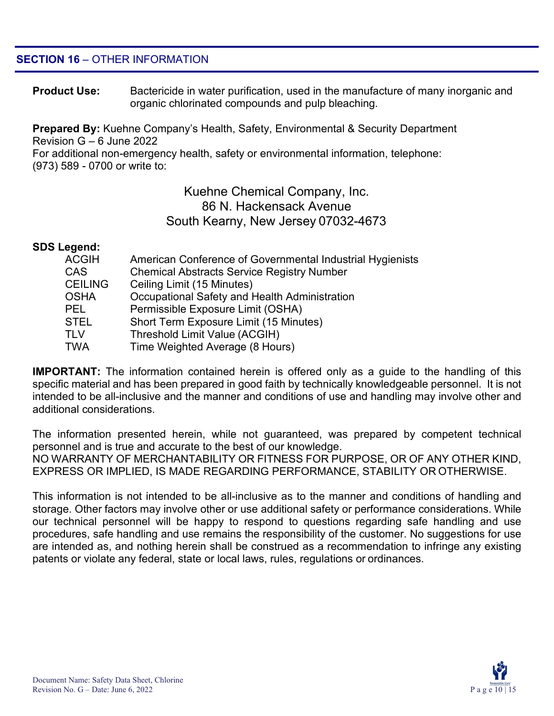#### **SECTION 16** – OTHER INFORMATION

**Product Use:** Bactericide in water purification, used in the manufacture of many inorganic and organic chlorinated compounds and pulp bleaching.

**Prepared By:** Kuehne Company's Health, Safety, Environmental & Security Department Revision G – 6 June 2022

For additional non-emergency health, safety or environmental information, telephone: (973) 589 - 0700 or write to:

#### Kuehne Chemical Company, Inc. 86 N. Hackensack Avenue South Kearny, New Jersey 07032-4673

#### **SDS Legend:**

| American Conference of Governmental Industrial Hygienists |
|-----------------------------------------------------------|
| <b>Chemical Abstracts Service Registry Number</b>         |
| Ceiling Limit (15 Minutes)                                |
| Occupational Safety and Health Administration             |
| Permissible Exposure Limit (OSHA)                         |
| Short Term Exposure Limit (15 Minutes)                    |
| Threshold Limit Value (ACGIH)                             |
| Time Weighted Average (8 Hours)                           |
|                                                           |

**IMPORTANT:** The information contained herein is offered only as a guide to the handling of this specific material and has been prepared in good faith by technically knowledgeable personnel. It is not intended to be all-inclusive and the manner and conditions of use and handling may involve other and additional considerations.

The information presented herein, while not guaranteed, was prepared by competent technical personnel and is true and accurate to the best of our knowledge. NO WARRANTY OF MERCHANTABILITY OR FITNESS FOR PURPOSE, OR OF ANY OTHER KIND, EXPRESS OR IMPLIED, IS MADE REGARDING PERFORMANCE, STABILITY OR OTHERWISE.

This information is not intended to be all-inclusive as to the manner and conditions of handling and storage. Other factors may involve other or use additional safety or performance considerations. While our technical personnel will be happy to respond to questions regarding safe handling and use procedures, safe handling and use remains the responsibility of the customer. No suggestions for use are intended as, and nothing herein shall be construed as a recommendation to infringe any existing patents or violate any federal, state or local laws, rules, regulations or ordinances.

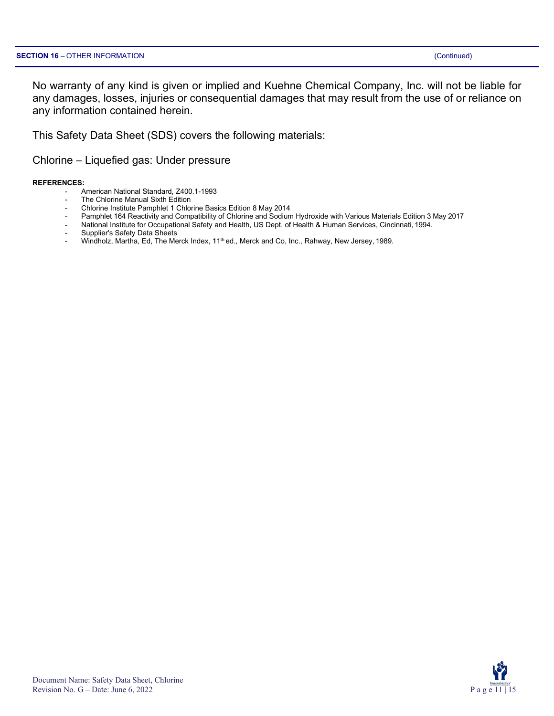No warranty of any kind is given or implied and Kuehne Chemical Company, Inc. will not be liable for any damages, losses, injuries or consequential damages that may result from the use of or reliance on any information contained herein.

This Safety Data Sheet (SDS) covers the following materials:

Chlorine – Liquefied gas: Under pressure

#### **REFERENCES:**

- American National Standard, Z400.1-1993
- The Chlorine Manual Sixth Edition
- Chlorine Institute Pamphlet 1 Chlorine Basics Edition 8 May 2014
- Pamphlet 164 Reactivity and Compatibility of Chlorine and Sodium Hydroxide with Various Materials Edition 3 May 2017
- National Institute for Occupational Safety and Health, US Dept. of Health & Human Services, Cincinnati, 1994.
- Supplier's Safety Data Sheets
- Windholz, Martha, Ed, The Merck Index, 11<sup>th</sup> ed., Merck and Co, Inc., Rahway, New Jersey, 1989.

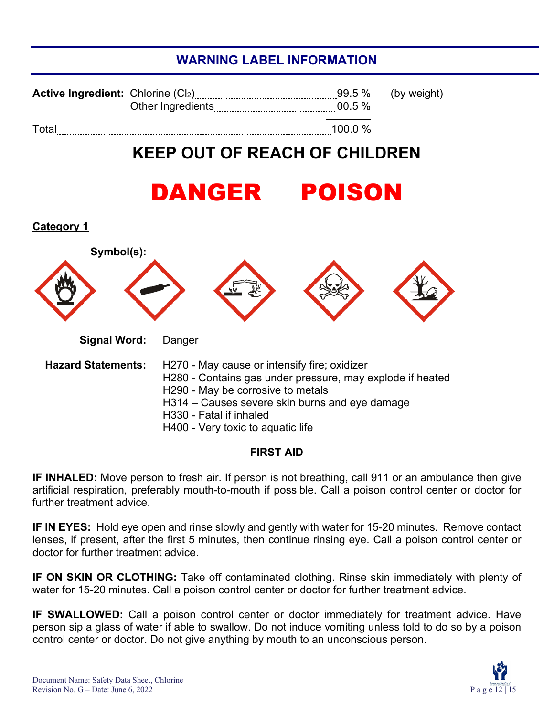### **WARNING LABEL INFORMATION**

| <b>Active Ingredient:</b> Chlorine $(Cl2)$ | Other Ingredients | $00.5\%$ | 99.5 % (by weight) |
|--------------------------------------------|-------------------|----------|--------------------|
| Total                                      |                   | 100.0 %  |                    |

## **KEEP OUT OF REACH OF CHILDREN**

## DANGER POISON



#### **FIRST AID**

**IF INHALED:** Move person to fresh air. If person is not breathing, call 911 or an ambulance then give artificial respiration, preferably mouth-to-mouth if possible. Call a poison control center or doctor for further treatment advice.

**IF IN EYES:** Hold eye open and rinse slowly and gently with water for 15-20 minutes. Remove contact lenses, if present, after the first 5 minutes, then continue rinsing eye. Call a poison control center or doctor for further treatment advice.

**IF ON SKIN OR CLOTHING:** Take off contaminated clothing. Rinse skin immediately with plenty of water for 15-20 minutes. Call a poison control center or doctor for further treatment advice.

**IF SWALLOWED:** Call a poison control center or doctor immediately for treatment advice. Have person sip a glass of water if able to swallow. Do not induce vomiting unless told to do so by a poison control center or doctor. Do not give anything by mouth to an unconscious person.

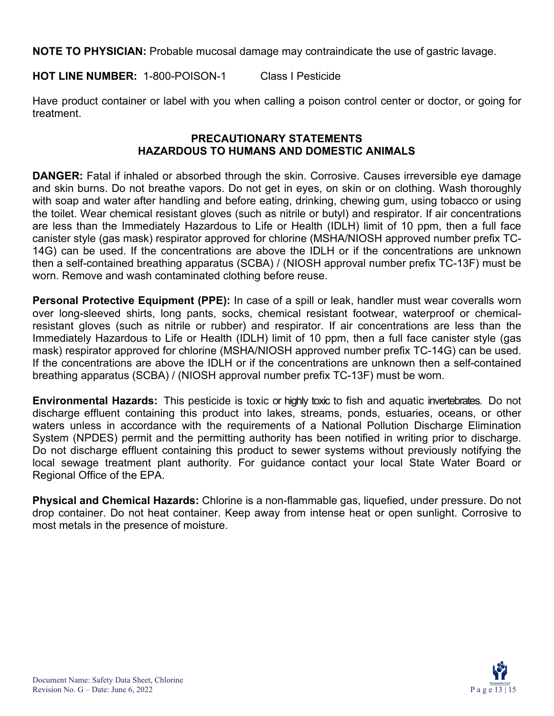**NOTE TO PHYSICIAN:** Probable mucosal damage may contraindicate the use of gastric lavage.

**HOT LINE NUMBER:** 1-800-POISON-1 Class I Pesticide

Have product container or label with you when calling a poison control center or doctor, or going for treatment.

#### **PRECAUTIONARY STATEMENTS HAZARDOUS TO HUMANS AND DOMESTIC ANIMALS**

**DANGER:** Fatal if inhaled or absorbed through the skin. Corrosive. Causes irreversible eye damage and skin burns. Do not breathe vapors. Do not get in eyes, on skin or on clothing. Wash thoroughly with soap and water after handling and before eating, drinking, chewing gum, using tobacco or using the toilet. Wear chemical resistant gloves (such as nitrile or butyl) and respirator. If air concentrations are less than the Immediately Hazardous to Life or Health (IDLH) limit of 10 ppm, then a full face canister style (gas mask) respirator approved for chlorine (MSHA/NIOSH approved number prefix TC-14G) can be used. If the concentrations are above the IDLH or if the concentrations are unknown then a self-contained breathing apparatus (SCBA) / (NIOSH approval number prefix TC-13F) must be worn. Remove and wash contaminated clothing before reuse.

**Personal Protective Equipment (PPE):** In case of a spill or leak, handler must wear coveralls worn over long-sleeved shirts, long pants, socks, chemical resistant footwear, waterproof or chemicalresistant gloves (such as nitrile or rubber) and respirator. If air concentrations are less than the Immediately Hazardous to Life or Health (IDLH) limit of 10 ppm, then a full face canister style (gas mask) respirator approved for chlorine (MSHA/NIOSH approved number prefix TC-14G) can be used. If the concentrations are above the IDLH or if the concentrations are unknown then a self-contained breathing apparatus (SCBA) / (NIOSH approval number prefix TC-13F) must be worn.

**Environmental Hazards:** This pesticide is toxic or highly toxic to fish and aquatic invertebrates. Do not discharge effluent containing this product into lakes, streams, ponds, estuaries, oceans, or other waters unless in accordance with the requirements of a National Pollution Discharge Elimination System (NPDES) permit and the permitting authority has been notified in writing prior to discharge. Do not discharge effluent containing this product to sewer systems without previously notifying the local sewage treatment plant authority. For guidance contact your local State Water Board or Regional Office of the EPA.

**Physical and Chemical Hazards:** Chlorine is a non-flammable gas, liquefied, under pressure. Do not drop container. Do not heat container. Keep away from intense heat or open sunlight. Corrosive to most metals in the presence of moisture.

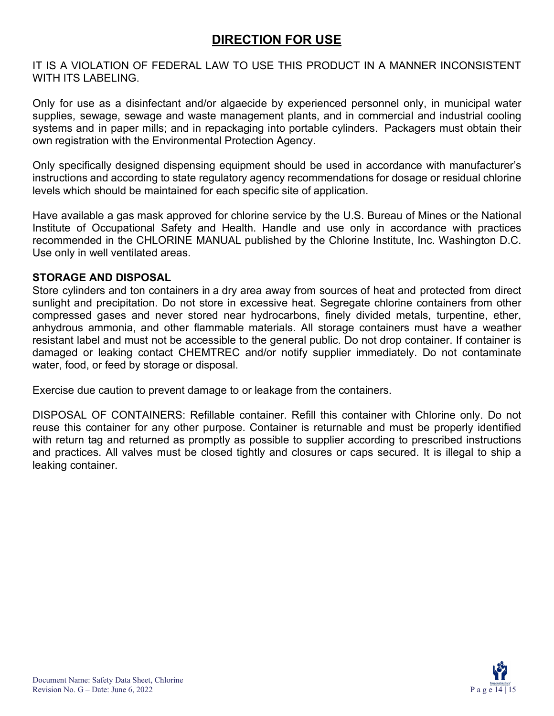### **DIRECTION FOR USE**

IT IS A VIOLATION OF FEDERAL LAW TO USE THIS PRODUCT IN A MANNER INCONSISTENT WITH ITS LABELING.

Only for use as a disinfectant and/or algaecide by experienced personnel only, in municipal water supplies, sewage, sewage and waste management plants, and in commercial and industrial cooling systems and in paper mills; and in repackaging into portable cylinders. Packagers must obtain their own registration with the Environmental Protection Agency.

Only specifically designed dispensing equipment should be used in accordance with manufacturer's instructions and according to state regulatory agency recommendations for dosage or residual chlorine levels which should be maintained for each specific site of application.

Have available a gas mask approved for chlorine service by the U.S. Bureau of Mines or the National Institute of Occupational Safety and Health. Handle and use only in accordance with practices recommended in the CHLORINE MANUAL published by the Chlorine Institute, Inc. Washington D.C. Use only in well ventilated areas.

#### **STORAGE AND DISPOSAL**

Store cylinders and ton containers in a dry area away from sources of heat and protected from direct sunlight and precipitation. Do not store in excessive heat. Segregate chlorine containers from other compressed gases and never stored near hydrocarbons, finely divided metals, turpentine, ether, anhydrous ammonia, and other flammable materials. All storage containers must have a weather resistant label and must not be accessible to the general public. Do not drop container. If container is damaged or leaking contact CHEMTREC and/or notify supplier immediately. Do not contaminate water, food, or feed by storage or disposal.

Exercise due caution to prevent damage to or leakage from the containers.

DISPOSAL OF CONTAINERS: Refillable container. Refill this container with Chlorine only. Do not reuse this container for any other purpose. Container is returnable and must be properly identified with return tag and returned as promptly as possible to supplier according to prescribed instructions and practices. All valves must be closed tightly and closures or caps secured. It is illegal to ship a leaking container.